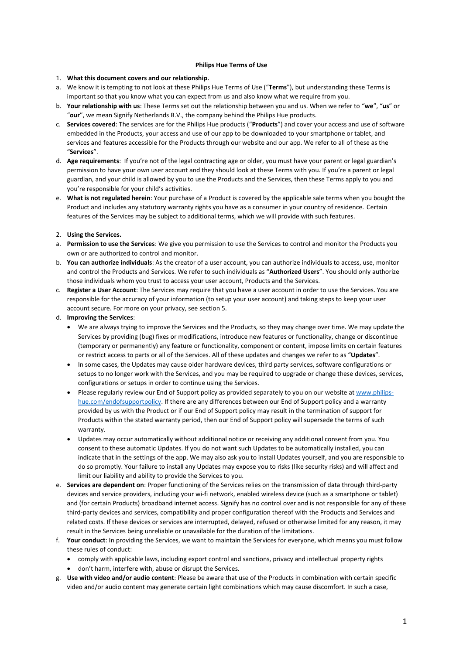## **Philips Hue Terms of Use**

### 1. **What this document covers and our relationship.**

- a. We know it is tempting to not look at these Philips Hue Terms of Use ("**Terms**"), but understanding these Terms is important so that you know what you can expect from us and also know what we require from you.
- b. **Your relationship with us**: These Terms set out the relationship between you and us. When we refer to "**we**", "**us**" or "**our**", we mean Signify Netherlands B.V., the company behind the Philips Hue products.
- c. **Services covered**: The services are for the Philips Hue products ("**Products**") and cover your access and use of software embedded in the Products, your access and use of our app to be downloaded to your smartphone or tablet, and services and features accessible for the Products through our website and our app. We refer to all of these as the "**Services**".
- d. **Age requirements**: If you're not of the legal contracting age or older, you must have your parent or legal guardian's permission to have your own user account and they should look at these Terms with you. If you're a parent or legal guardian, and your child is allowed by you to use the Products and the Services, then these Terms apply to you and you're responsible for your child's activities.
- e. **What is not regulated herein**: Your purchase of a Product is covered by the applicable sale terms when you bought the Product and includes any statutory warranty rights you have as a consumer in your country of residence. Certain features of the Services may be subject to additional terms, which we will provide with such features.

### 2. **Using the Services.**

- a. **Permission to use the Services**: We give you permission to use the Services to control and monitor the Products you own or are authorized to control and monitor.
- b. **You can authorize individuals**: As the creator of a user account, you can authorize individuals to access, use, monitor and control the Products and Services. We refer to such individuals as "**Authorized Users**". You should only authorize those individuals whom you trust to access your user account, Products and the Services.
- c. **Register a User Account**: The Services may require that you have a user account in order to use the Services. You are responsible for the accuracy of your information (to setup your user account) and taking steps to keep your user account secure. For more on your privacy, see sectio[n 5.](#page-1-0)

# d. **Improving the Services**:

- We are always trying to improve the Services and the Products, so they may change over time. We may update the Services by providing (bug) fixes or modifications, introduce new features or functionality, change or discontinue (temporary or permanently) any feature or functionality, component or content, impose limits on certain features or restrict access to parts or all of the Services. All of these updates and changes we refer to as "**Updates**".
- In some cases, the Updates may cause older hardware devices, third party services, software configurations or setups to no longer work with the Services, and you may be required to upgrade or change these devices, services, configurations or setups in order to continue using the Services.
- Please regularly review our End of Support policy as provided separately to you on our website at [www.philips](http://www.philips-hue.com/endofsupportpolicy)[hue.com/endofsupportpolicy.](http://www.philips-hue.com/endofsupportpolicy) If there are any differences between our End of Support policy and a warranty provided by us with the Product or if our End of Support policy may result in the termination of support for Products within the stated warranty period, then our End of Support policy will supersede the terms of such warranty.
- Updates may occur automatically without additional notice or receiving any additional consent from you. You consent to these automatic Updates. If you do not want such Updates to be automatically installed, you can indicate that in the settings of the app. We may also ask you to install Updates yourself, and you are responsible to do so promptly. Your failure to install any Updates may expose you to risks (like security risks) and will affect and limit our liability and ability to provide the Services to you.
- e. **Services are dependent on**: Proper functioning of the Services relies on the transmission of data through third-party devices and service providers, including your wi-fi network, enabled wireless device (such as a smartphone or tablet) and (for certain Products) broadband internet access. Signify has no control over and is not responsible for any of these third-party devices and services, compatibility and proper configuration thereof with the Products and Services and related costs. If these devices or services are interrupted, delayed, refused or otherwise limited for any reason, it may result in the Services being unreliable or unavailable for the duration of the limitations.
- f. **Your conduct**: In providing the Services, we want to maintain the Services for everyone, which means you must follow these rules of conduct:
	- comply with applicable laws, including export control and sanctions, privacy and intellectual property rights
	- don't harm, interfere with, abuse or disrupt the Services.
- g. **Use with video and/or audio content**: Please be aware that use of the Products in combination with certain specific video and/or audio content may generate certain light combinations which may cause discomfort. In such a case,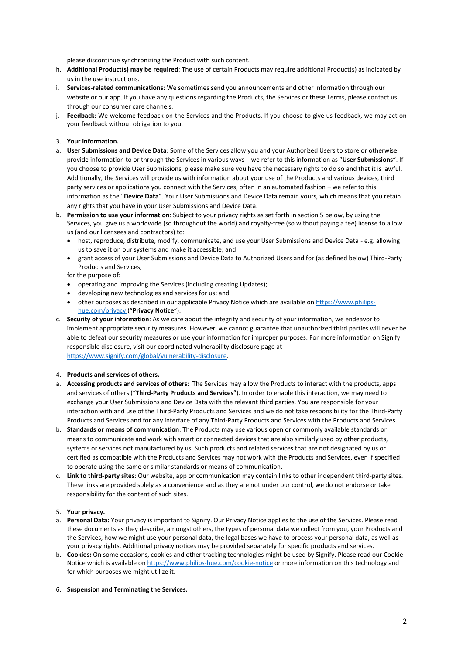please discontinue synchronizing the Product with such content.

- h. **Additional Product(s) may be required**: The use of certain Products may require additional Product(s) as indicated by us in the use instructions.
- i. **Services-related communications**: We sometimes send you announcements and other information through our website or our app. If you have any questions regarding the Products, the Services or these Terms, please contact us through our consumer care channels.
- j. **Feedback**: We welcome feedback on the Services and the Products. If you choose to give us feedback, we may act on your feedback without obligation to you.

# 3. **Your information.**

- a. **User Submissions and Device Data**: Some of the Services allow you and your Authorized Users to store or otherwise provide information to or through the Services in various ways – we refer to this information as "**User Submissions**". If you choose to provide User Submissions, please make sure you have the necessary rights to do so and that it is lawful. Additionally, the Services will provide us with information about your use of the Products and various devices, third party services or applications you connect with the Services, often in an automated fashion – we refer to this information as the "**Device Data**". Your User Submissions and Device Data remain yours, which means that you retain any rights that you have in your User Submissions and Device Data.
- b. **Permission to use your information**: Subject to your privacy rights as set forth in sectio[n 5](#page-1-0) below, by using the Services, you give us a worldwide (so throughout the world) and royalty-free (so without paying a fee) license to allow us (and our licensees and contractors) to:
	- host, reproduce, distribute, modify, communicate, and use your User Submissions and Device Data e.g. allowing us to save it on our systems and make it accessible; and
	- grant access of your User Submissions and Device Data to Authorized Users and for (as defined below) Third-Party Products and Services,

for the purpose of:

- operating and improving the Services (including creating Updates);
- developing new technologies and services for us; and
- other purposes as described in our applicable Privacy Notice which are available on [https://www.philips](https://www.philips-hue.com/privacy)[hue.com/privacy](https://www.philips-hue.com/privacy) ("**Privacy Notice**").
- c. **Security of your information**: As we care about the integrity and security of your information, we endeavor to implement appropriate security measures. However, we cannot guarantee that unauthorized third parties will never be able to defeat our security measures or use your information for improper purposes. For more information on Signify responsible disclosure, visit our coordinated vulnerability disclosure page at [https://www.signify.com/global/vulnerability-disclosure.](https://www.signify.com/global/vulnerability-disclosure)

#### 4. **Products and services of others.**

- a. **Accessing products and services of others**: The Services may allow the Products to interact with the products, apps and services of others ("**Third-Party Products and Services**"). In order to enable this interaction, we may need to exchange your User Submissions and Device Data with the relevant third parties. You are responsible for your interaction with and use of the Third-Party Products and Services and we do not take responsibility for the Third-Party Products and Services and for any interface of any Third-Party Products and Services with the Products and Services.
- b. **Standards or means of communication**: The Products may use various open or commonly available standards or means to communicate and work with smart or connected devices that are also similarly used by other products, systems or services not manufactured by us. Such products and related services that are not designated by us or certified as compatible with the Products and Services may not work with the Products and Services, even if specified to operate using the same or similar standards or means of communication.
- c. **Link to third-party sites**: Our website, app or communication may contain links to other independent third-party sites. These links are provided solely as a convenience and as they are not under our control, we do not endorse or take responsibility for the content of such sites.

#### <span id="page-1-0"></span>5. **Your privacy.**

- a. **Personal Data:** Your privacy is important to Signify. Our [Privacy Notice](https://www.signify.com/global/privacy/legal-information) applies to the use of the Services. Please read these documents as they describe, amongst others, the types of personal data we collect from you, your Products and the Services, how we might use your personal data, the legal bases we have to process your personal data, as well as your privacy rights. Additional privacy notices may be provided separately for specific products and services.
- b. **Cookies:** On some occasions, cookies and other tracking technologies might be used by Signify. Please read ou[r Cookie](https://www.signify.com/global/privacy/legal-information)  [Notice](https://www.signify.com/global/privacy/legal-information) which is available on <https://www.philips-hue.com/cookie-notice> or more information on this technology and for which purposes we might utilize it.

#### 6. **Suspension and Terminating the Services.**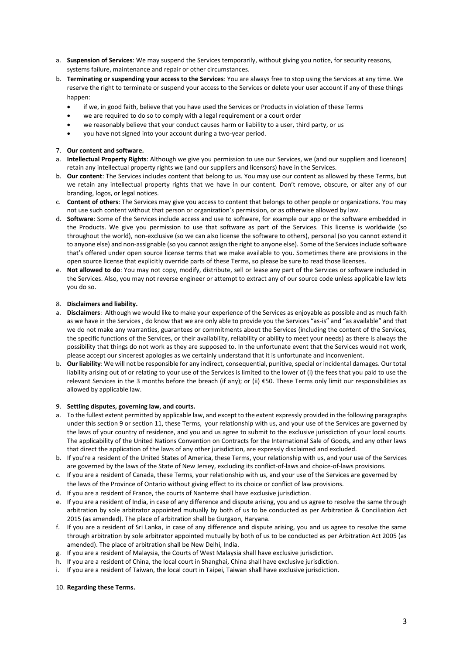- a. **Suspension of Services**: We may suspend the Services temporarily, without giving you notice, for security reasons, systems failure, maintenance and repair or other circumstances.
- b. **Terminating or suspending your access to the Services**: You are always free to stop using the Services at any time. We reserve the right to terminate or suspend your access to the Services or delete your user account if any of these things happen:
	- if we, in good faith, believe that you have used the Services or Products in violation of these Terms
	- we are required to do so to comply with a legal requirement or a court order
	- we reasonably believe that your conduct causes harm or liability to a user, third party, or us
	- you have not signed into your account during a two-year period.

# 7. **Our content and software.**

- a. **Intellectual Property Rights**: Although we give you permission to use our Services, we (and our suppliers and licensors) retain any intellectual property rights we (and our suppliers and licensors) have in the Services.
- b. **Our content**: The Services includes content that belong to us. You may use our content as allowed by these Terms, but we retain any intellectual property rights that we have in our content. Don't remove, obscure, or alter any of our branding, logos, or legal notices.
- c. **Content of others**: The Services may give you access to content that belongs to other people or organizations. You may not use such content without that person or organization's permission, or as otherwise allowed by law.
- d. **Software**: Some of the Services include access and use to software, for example our app or the software embedded in the Products. We give you permission to use that software as part of the Services. This license is worldwide (so throughout the world), non-exclusive (so we can also license the software to others), personal (so you cannot extend it to anyone else) and non-assignable (so you cannot assign the right to anyone else). Some of the Services include software that's offered under open source license terms that we make available to you. Sometimes there are provisions in the open source license that explicitly override parts of these Terms, so please be sure to read those licenses.
- e. **Not allowed to do**: You may not copy, modify, distribute, sell or lease any part of the Services or software included in the Services. Also, you may not reverse engineer or attempt to extract any of our source code unless applicable law lets you do so.

# 8. **Disclaimers and liability.**

- a. **Disclaimers**: Although we would like to make your experience of the Services as enjoyable as possible and as much faith as we have in the Services , do know that we are only able to provide you the Services "as-is" and "as available" and that we do not make any warranties, guarantees or commitments about the Services (including the content of the Services, the specific functions of the Services, or their availability, reliability or ability to meet your needs) as there is always the possibility that things do not work as they are supposed to. In the unfortunate event that the Services would not work, please accept our sincerest apologies as we certainly understand that it is unfortunate and inconvenient.
- b. **Our liability**: We will not be responsible for any indirect, consequential, punitive, special or incidental damages. Our total liability arising out of or relating to your use of the Services is limited to the lower of (i) the fees that you paid to use the relevant Services in the 3 months before the breach (if any); or (ii) €50. These Terms only limit our responsibilities as allowed by applicable law.

# <span id="page-2-0"></span>9. **Settling disputes, governing law, and courts.**

- a. To the fullest extent permitted by applicable law, and except to the extent expressly provided in the following paragraphs under this section [9](#page-2-0) or section [11,](#page-3-0) these Terms, your relationship with us, and your use of the Services are governed by the laws of your country of residence, and you and us agree to submit to the exclusive jurisdiction of your local courts. The applicability of the United Nations Convention on Contracts for the International Sale of Goods, and any other laws that direct the application of the laws of any other jurisdiction, are expressly disclaimed and excluded.
- b. If you're a resident of the United States of America, these Terms, your relationship with us, and your use of the Services are governed by the laws of the State of New Jersey, excluding its conflict-of-laws and choice-of-laws provisions.
- c. If you are a resident of Canada, these Terms, your relationship with us, and your use of the Services are governed by the laws of the Province of Ontario without giving effect to its choice or conflict of law provisions.
- d. If you are a resident of France, the courts of Nanterre shall have exclusive jurisdiction.
- e. If you are a resident of India, in case of any difference and dispute arising, you and us agree to resolve the same through arbitration by sole arbitrator appointed mutually by both of us to be conducted as per Arbitration & Conciliation Act 2015 (as amended). The place of arbitration shall be Gurgaon, Haryana.
- f. If you are a resident of Sri Lanka, in case of any difference and dispute arising, you and us agree to resolve the same through arbitration by sole arbitrator appointed mutually by both of us to be conducted as per Arbitration Act 2005 (as amended). The place of arbitration shall be New Delhi, India.
- g. If you are a resident of Malaysia, the Courts of West Malaysia shall have exclusive jurisdiction.
- h. If you are a resident of China, the local court in Shanghai, China shall have exclusive jurisdiction.
- i. If you are a resident of Taiwan, the local court in Taipei, Taiwan shall have exclusive jurisdiction.

# 10. **Regarding these Terms.**